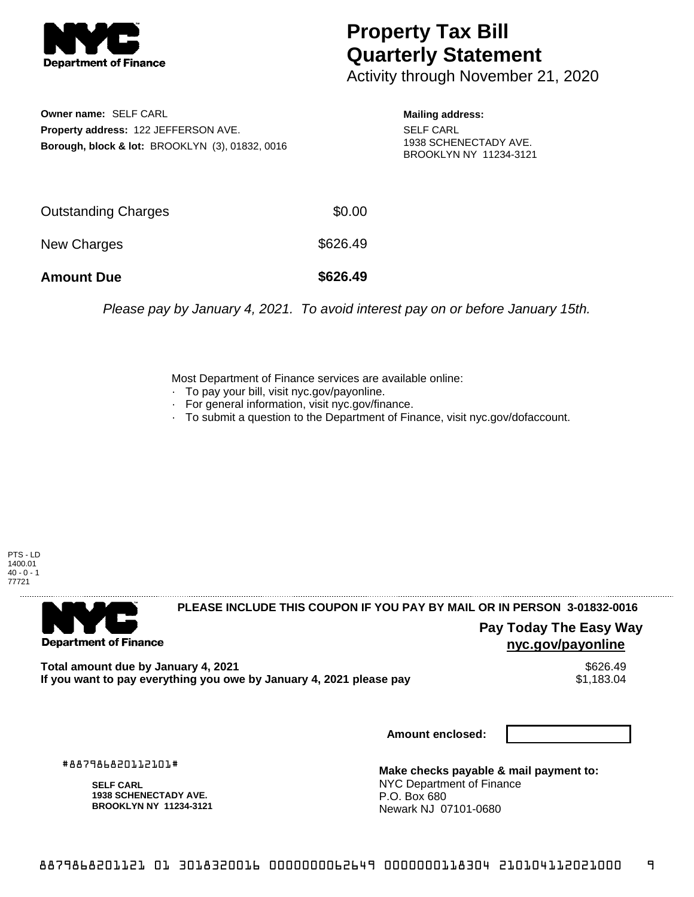

## **Property Tax Bill Quarterly Statement**

Activity through November 21, 2020

**Owner name:** SELF CARL **Property address:** 122 JEFFERSON AVE. **Borough, block & lot:** BROOKLYN (3), 01832, 0016

**Mailing address:** SELF CARL 1938 SCHENECTADY AVE. BROOKLYN NY 11234-3121

| <b>Amount Due</b>   | \$626.49 |
|---------------------|----------|
| New Charges         | \$626.49 |
| Outstanding Charges | \$0.00   |

Please pay by January 4, 2021. To avoid interest pay on or before January 15th.

Most Department of Finance services are available online:

- · To pay your bill, visit nyc.gov/payonline.
- For general information, visit nyc.gov/finance.
- · To submit a question to the Department of Finance, visit nyc.gov/dofaccount.





**PLEASE INCLUDE THIS COUPON IF YOU PAY BY MAIL OR IN PERSON 3-01832-0016** 

**Pay Today The Easy Way nyc.gov/payonline**

Total amount due by January 4, 2021<br>If you want to pay everything you owe by January 4, 2021 please pay **ship in the set of the set of the s**1,183.04 If you want to pay everything you owe by January 4, 2021 please pay

**Amount enclosed:**

#887986820112101#

**SELF CARL 1938 SCHENECTADY AVE. BROOKLYN NY 11234-3121**

**Make checks payable & mail payment to:** NYC Department of Finance P.O. Box 680 Newark NJ 07101-0680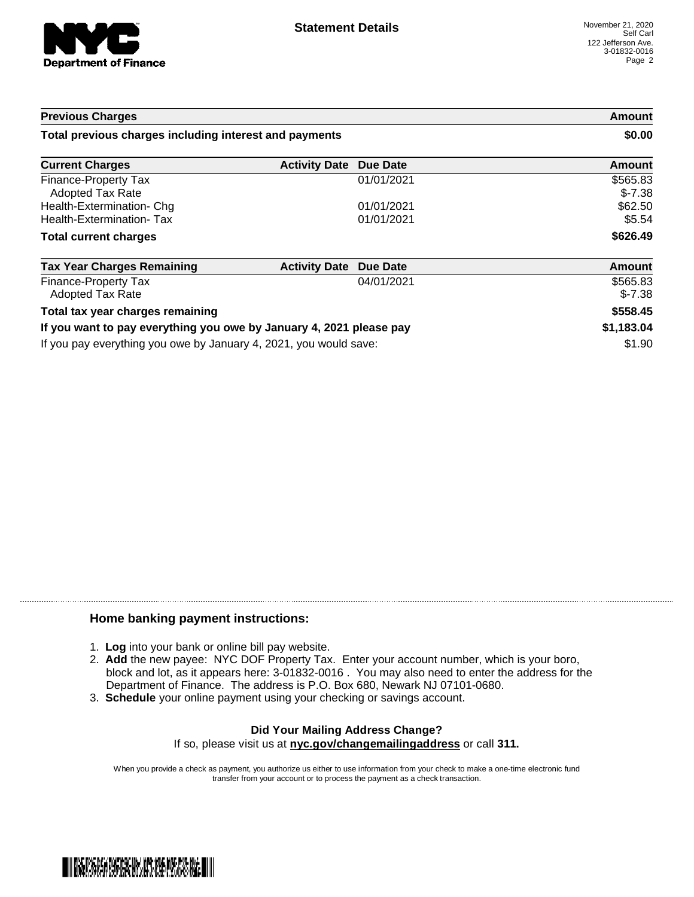

| <b>Previous Charges</b>                                             |                      |            | Amount               |
|---------------------------------------------------------------------|----------------------|------------|----------------------|
| Total previous charges including interest and payments              |                      |            | \$0.00               |
| <b>Current Charges</b>                                              | <b>Activity Date</b> | Due Date   | Amount               |
| Finance-Property Tax<br>Adopted Tax Rate                            |                      | 01/01/2021 | \$565.83<br>$$-7.38$ |
| Health-Extermination- Chg                                           |                      | 01/01/2021 | \$62.50              |
| <b>Health-Extermination-Tax</b>                                     |                      | 01/01/2021 | \$5.54               |
| <b>Total current charges</b>                                        |                      |            | \$626.49             |
| <b>Tax Year Charges Remaining</b>                                   | <b>Activity Date</b> | Due Date   | <b>Amount</b>        |
| Finance-Property Tax<br><b>Adopted Tax Rate</b>                     |                      | 04/01/2021 | \$565.83<br>$$-7.38$ |
| Total tax year charges remaining                                    |                      |            | \$558.45             |
| If you want to pay everything you owe by January 4, 2021 please pay |                      | \$1,183.04 |                      |
| If you pay everything you owe by January 4, 2021, you would save:   |                      |            | \$1.90               |

## **Home banking payment instructions:**

- 1. **Log** into your bank or online bill pay website.
- 2. **Add** the new payee: NYC DOF Property Tax. Enter your account number, which is your boro, block and lot, as it appears here: 3-01832-0016 . You may also need to enter the address for the Department of Finance. The address is P.O. Box 680, Newark NJ 07101-0680.
- 3. **Schedule** your online payment using your checking or savings account.

## **Did Your Mailing Address Change?** If so, please visit us at **nyc.gov/changemailingaddress** or call **311.**

When you provide a check as payment, you authorize us either to use information from your check to make a one-time electronic fund transfer from your account or to process the payment as a check transaction.